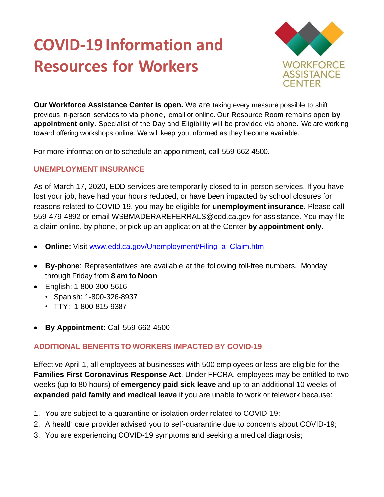## **COVID-19 Information and Resources for Workers**



**Our Workforce Assistance Center is open.** We are taking every measure possible to shift previous in-person services to via phone, email or online. Our Resource Room remains open **by appointment only**. Specialist of the Day and Eligibility will be provided via phone. We are working toward offering workshops online. We will keep you informed as they become available.

For more information or to schedule an appointment, call 559-662-4500.

## **UNEMPLOYMENT INSURANCE**

As of March 17, 2020, EDD services are temporarily closed to in-person services. If you have lost your job, have had your hours reduced, or have been impacted by school closures for reasons related to COVID-19, you may be eligible for **unemployment insurance**. Please call 559-479-4892 or email [WSBMADERAREFERRALS@edd.ca.gov](mailto:WSBMADERAREFERRALS@edd.ca.gov) for assistance. You may file a claim online, by phone, or pick up an application at the Center **by appointment only**.

- **Online:** Visit www.edd.ca.gov/Unemployment/Filing a Claim.htm
- **By-phone**: Representatives are available at the following toll-free numbers, Monday through Friday from **8 am to Noon**
- English: 1-800-300-5616
	- Spanish: 1-800-326-8937
	- TTY: 1-800-815-9387
- **By Appointment:** Call 559-662-4500

## **ADDITIONAL BENEFITS TO WORKERS IMPACTED BY COVID-19**

Effective April 1, all employees at businesses with 500 employees or less are eligible for the **Families First Coronavirus Response Act**. Under FFCRA, employees may be entitled to two weeks (up to 80 hours) of **emergency paid sick leave** and up to an additional 10 weeks of **expanded paid family and medical leave** if you are unable to work or telework because:

- 1. You are subject to a quarantine or isolation order related to COVID-19;
- 2. A health care provider advised you to self-quarantine due to concerns about COVID-19;
- 3. You are experiencing COVID-19 symptoms and seeking a medical diagnosis;